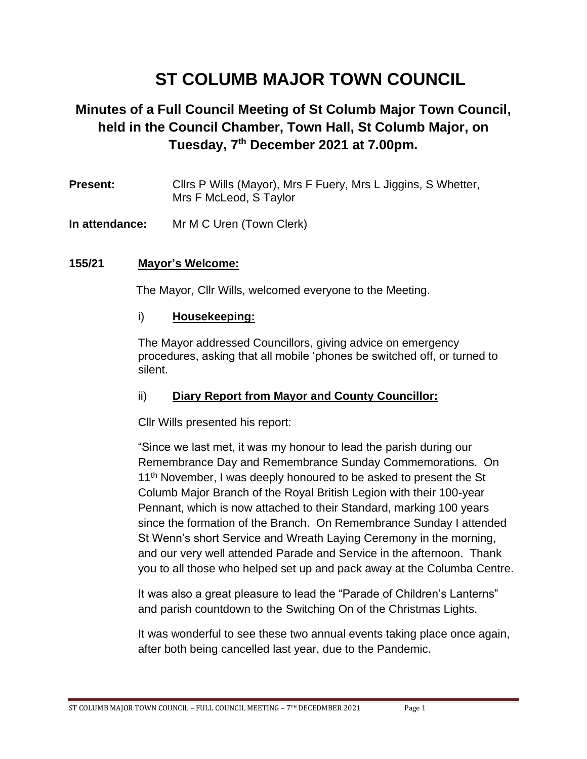# **ST COLUMB MAJOR TOWN COUNCIL**

# **Minutes of a Full Council Meeting of St Columb Major Town Council, held in the Council Chamber, Town Hall, St Columb Major, on Tuesday, 7 th December 2021 at 7.00pm.**

- **Present:** Clirs P Wills (Mayor), Mrs F Fuery, Mrs L Jiggins, S Whetter, Mrs F McLeod, S Taylor
- **In attendance:** Mr M C Uren (Town Clerk)

#### **155/21 Mayor's Welcome:**

The Mayor, Cllr Wills, welcomed everyone to the Meeting.

#### i) **Housekeeping:**

The Mayor addressed Councillors, giving advice on emergency procedures, asking that all mobile 'phones be switched off, or turned to silent.

# ii) **Diary Report from Mayor and County Councillor:**

Cllr Wills presented his report:

"Since we last met, it was my honour to lead the parish during our Remembrance Day and Remembrance Sunday Commemorations. On 11<sup>th</sup> November, I was deeply honoured to be asked to present the St Columb Major Branch of the Royal British Legion with their 100-year Pennant, which is now attached to their Standard, marking 100 years since the formation of the Branch. On Remembrance Sunday I attended St Wenn's short Service and Wreath Laying Ceremony in the morning, and our very well attended Parade and Service in the afternoon. Thank you to all those who helped set up and pack away at the Columba Centre.

It was also a great pleasure to lead the "Parade of Children's Lanterns" and parish countdown to the Switching On of the Christmas Lights.

It was wonderful to see these two annual events taking place once again, after both being cancelled last year, due to the Pandemic.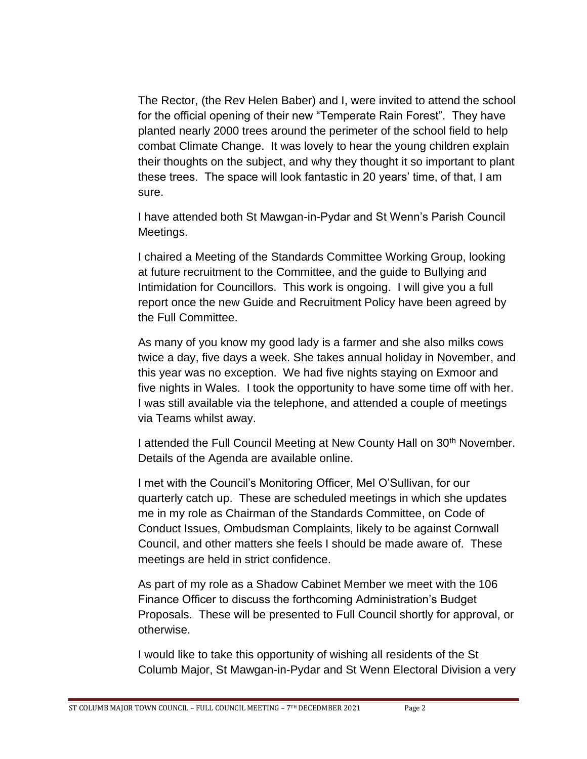The Rector, (the Rev Helen Baber) and I, were invited to attend the school for the official opening of their new "Temperate Rain Forest". They have planted nearly 2000 trees around the perimeter of the school field to help combat Climate Change. It was lovely to hear the young children explain their thoughts on the subject, and why they thought it so important to plant these trees. The space will look fantastic in 20 years' time, of that, I am sure.

I have attended both St Mawgan-in-Pydar and St Wenn's Parish Council Meetings.

I chaired a Meeting of the Standards Committee Working Group, looking at future recruitment to the Committee, and the guide to Bullying and Intimidation for Councillors. This work is ongoing. I will give you a full report once the new Guide and Recruitment Policy have been agreed by the Full Committee.

As many of you know my good lady is a farmer and she also milks cows twice a day, five days a week. She takes annual holiday in November, and this year was no exception. We had five nights staying on Exmoor and five nights in Wales. I took the opportunity to have some time off with her. I was still available via the telephone, and attended a couple of meetings via Teams whilst away.

I attended the Full Council Meeting at New County Hall on 30<sup>th</sup> November. Details of the Agenda are available online.

I met with the Council's Monitoring Officer, Mel O'Sullivan, for our quarterly catch up. These are scheduled meetings in which she updates me in my role as Chairman of the Standards Committee, on Code of Conduct Issues, Ombudsman Complaints, likely to be against Cornwall Council, and other matters she feels I should be made aware of. These meetings are held in strict confidence.

As part of my role as a Shadow Cabinet Member we meet with the 106 Finance Officer to discuss the forthcoming Administration's Budget Proposals. These will be presented to Full Council shortly for approval, or otherwise.

I would like to take this opportunity of wishing all residents of the St Columb Major, St Mawgan-in-Pydar and St Wenn Electoral Division a very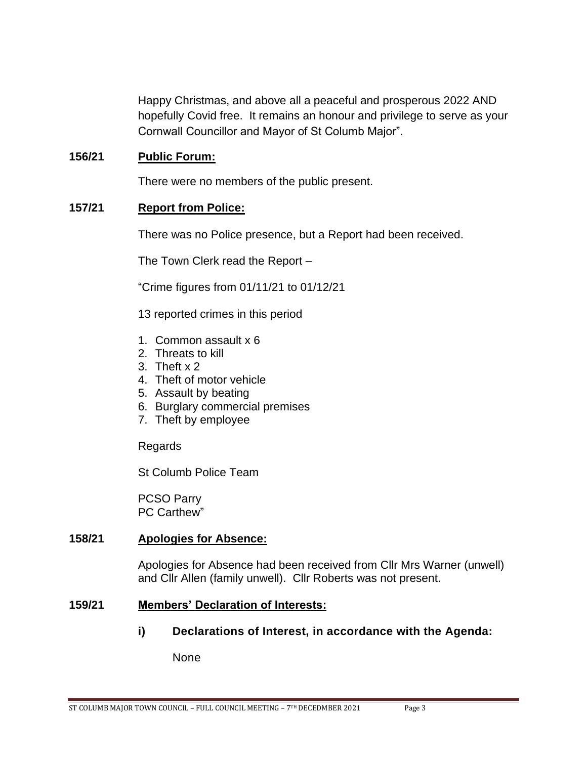Happy Christmas, and above all a peaceful and prosperous 2022 AND hopefully Covid free. It remains an honour and privilege to serve as your Cornwall Councillor and Mayor of St Columb Major".

#### **156/21 Public Forum:**

There were no members of the public present.

#### **157/21 Report from Police:**

There was no Police presence, but a Report had been received.

The Town Clerk read the Report –

"Crime figures from 01/11/21 to 01/12/21

13 reported crimes in this period

- 1. Common assault x 6
- 2. Threats to kill
- 3. Theft x 2
- 4. Theft of motor vehicle
- 5. Assault by beating
- 6. Burglary commercial premises
- 7. Theft by employee

Regards

St Columb Police Team

PCSO Parry PC Carthew"

#### **158/21 Apologies for Absence:**

Apologies for Absence had been received from Cllr Mrs Warner (unwell) and Cllr Allen (family unwell). Cllr Roberts was not present.

#### **159/21 Members' Declaration of Interests:**

#### **i) Declarations of Interest, in accordance with the Agenda:**

None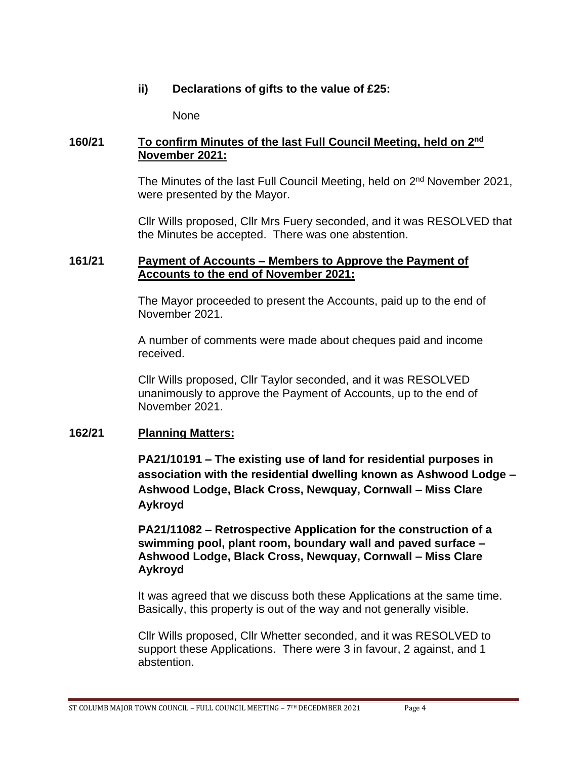#### **ii) Declarations of gifts to the value of £25:**

None

#### **160/21 To confirm Minutes of the last Full Council Meeting, held on 2 nd November 2021:**

The Minutes of the last Full Council Meeting, held on 2<sup>nd</sup> November 2021, were presented by the Mayor.

Cllr Wills proposed, Cllr Mrs Fuery seconded, and it was RESOLVED that the Minutes be accepted. There was one abstention.

#### **161/21 Payment of Accounts – Members to Approve the Payment of Accounts to the end of November 2021:**

The Mayor proceeded to present the Accounts, paid up to the end of November 2021.

A number of comments were made about cheques paid and income received.

Cllr Wills proposed, Cllr Taylor seconded, and it was RESOLVED unanimously to approve the Payment of Accounts, up to the end of November 2021.

#### **162/21 Planning Matters:**

**PA21/10191 – The existing use of land for residential purposes in association with the residential dwelling known as Ashwood Lodge – Ashwood Lodge, Black Cross, Newquay, Cornwall – Miss Clare Aykroyd**

**PA21/11082 – Retrospective Application for the construction of a swimming pool, plant room, boundary wall and paved surface – Ashwood Lodge, Black Cross, Newquay, Cornwall – Miss Clare Aykroyd**

 It was agreed that we discuss both these Applications at the same time. Basically, this property is out of the way and not generally visible.

Cllr Wills proposed, Cllr Whetter seconded, and it was RESOLVED to support these Applications. There were 3 in favour, 2 against, and 1 abstention.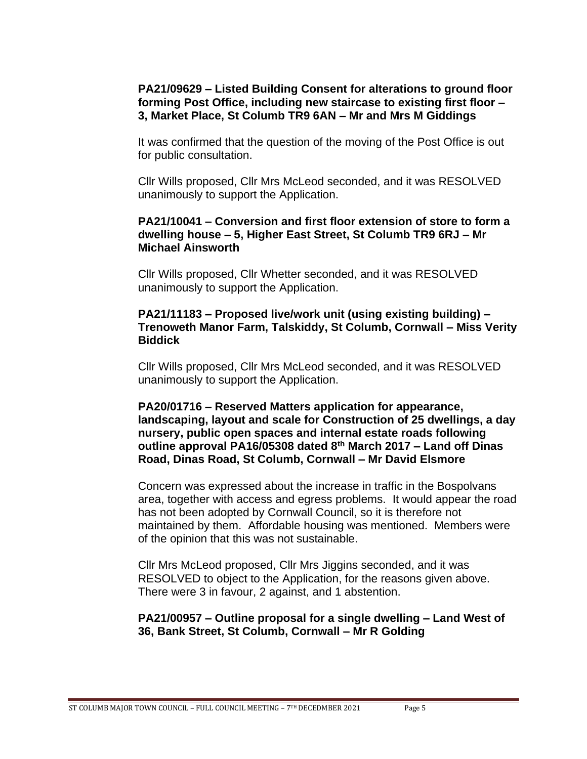#### **PA21/09629 – Listed Building Consent for alterations to ground floor forming Post Office, including new staircase to existing first floor – 3, Market Place, St Columb TR9 6AN – Mr and Mrs M Giddings**

It was confirmed that the question of the moving of the Post Office is out for public consultation.

Cllr Wills proposed, Cllr Mrs McLeod seconded, and it was RESOLVED unanimously to support the Application.

#### **PA21/10041 – Conversion and first floor extension of store to form a dwelling house – 5, Higher East Street, St Columb TR9 6RJ – Mr Michael Ainsworth**

Cllr Wills proposed, Cllr Whetter seconded, and it was RESOLVED unanimously to support the Application.

#### **PA21/11183 – Proposed live/work unit (using existing building) – Trenoweth Manor Farm, Talskiddy, St Columb, Cornwall – Miss Verity Biddick**

Cllr Wills proposed, Cllr Mrs McLeod seconded, and it was RESOLVED unanimously to support the Application.

**PA20/01716 – Reserved Matters application for appearance, landscaping, layout and scale for Construction of 25 dwellings, a day nursery, public open spaces and internal estate roads following outline approval PA16/05308 dated 8th March 2017 – Land off Dinas Road, Dinas Road, St Columb, Cornwall – Mr David Elsmore**

Concern was expressed about the increase in traffic in the Bospolvans area, together with access and egress problems. It would appear the road has not been adopted by Cornwall Council, so it is therefore not maintained by them. Affordable housing was mentioned. Members were of the opinion that this was not sustainable.

Cllr Mrs McLeod proposed, Cllr Mrs Jiggins seconded, and it was RESOLVED to object to the Application, for the reasons given above. There were 3 in favour, 2 against, and 1 abstention.

#### **PA21/00957 – Outline proposal for a single dwelling – Land West of 36, Bank Street, St Columb, Cornwall – Mr R Golding**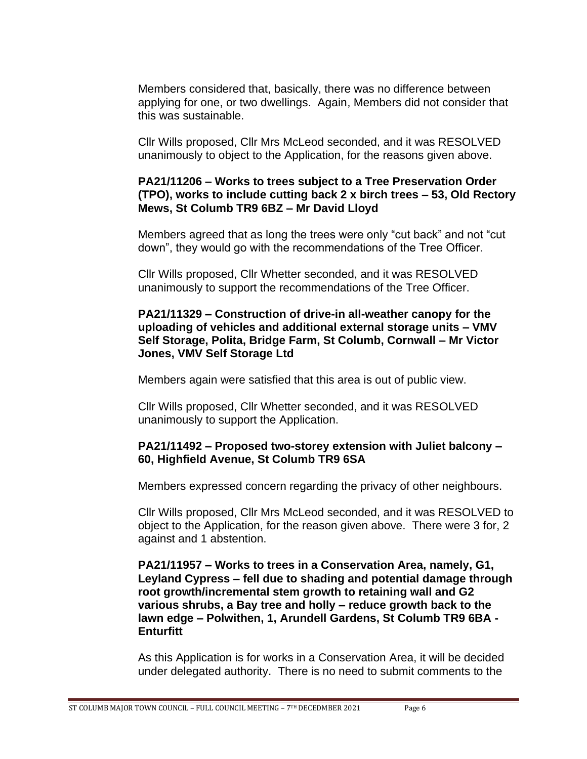Members considered that, basically, there was no difference between applying for one, or two dwellings. Again, Members did not consider that this was sustainable.

Cllr Wills proposed, Cllr Mrs McLeod seconded, and it was RESOLVED unanimously to object to the Application, for the reasons given above.

#### **PA21/11206 – Works to trees subject to a Tree Preservation Order (TPO), works to include cutting back 2 x birch trees – 53, Old Rectory Mews, St Columb TR9 6BZ – Mr David Lloyd**

Members agreed that as long the trees were only "cut back" and not "cut down", they would go with the recommendations of the Tree Officer.

Cllr Wills proposed, Cllr Whetter seconded, and it was RESOLVED unanimously to support the recommendations of the Tree Officer.

#### **PA21/11329 – Construction of drive-in all-weather canopy for the uploading of vehicles and additional external storage units – VMV Self Storage, Polita, Bridge Farm, St Columb, Cornwall – Mr Victor Jones, VMV Self Storage Ltd**

Members again were satisfied that this area is out of public view.

Cllr Wills proposed, Cllr Whetter seconded, and it was RESOLVED unanimously to support the Application.

# **PA21/11492 – Proposed two-storey extension with Juliet balcony – 60, Highfield Avenue, St Columb TR9 6SA**

Members expressed concern regarding the privacy of other neighbours.

Cllr Wills proposed, Cllr Mrs McLeod seconded, and it was RESOLVED to object to the Application, for the reason given above. There were 3 for, 2 against and 1 abstention.

**PA21/11957 – Works to trees in a Conservation Area, namely, G1, Leyland Cypress – fell due to shading and potential damage through root growth/incremental stem growth to retaining wall and G2 various shrubs, a Bay tree and holly – reduce growth back to the lawn edge – Polwithen, 1, Arundell Gardens, St Columb TR9 6BA - Enturfitt**

As this Application is for works in a Conservation Area, it will be decided under delegated authority. There is no need to submit comments to the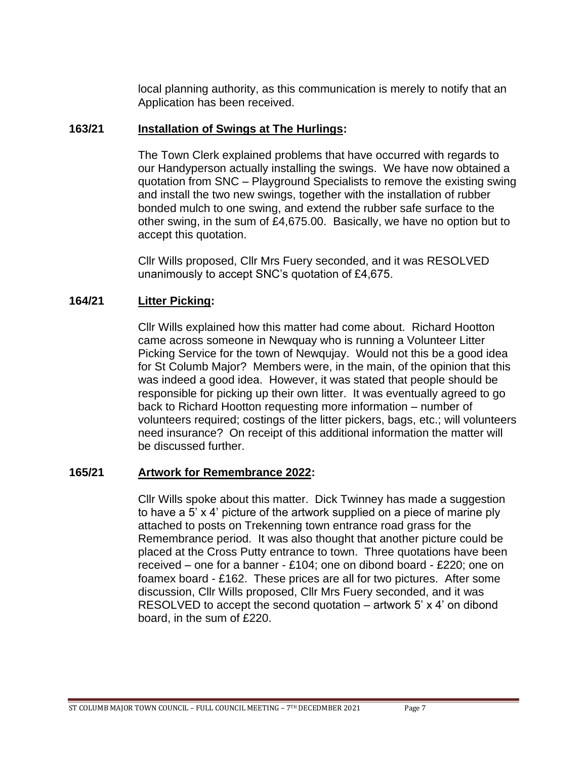local planning authority, as this communication is merely to notify that an Application has been received.

#### **163/21 Installation of Swings at The Hurlings:**

The Town Clerk explained problems that have occurred with regards to our Handyperson actually installing the swings. We have now obtained a quotation from SNC – Playground Specialists to remove the existing swing and install the two new swings, together with the installation of rubber bonded mulch to one swing, and extend the rubber safe surface to the other swing, in the sum of £4,675.00. Basically, we have no option but to accept this quotation.

Cllr Wills proposed, Cllr Mrs Fuery seconded, and it was RESOLVED unanimously to accept SNC's quotation of £4,675.

# **164/21 Litter Picking:**

Cllr Wills explained how this matter had come about. Richard Hootton came across someone in Newquay who is running a Volunteer Litter Picking Service for the town of Newqujay. Would not this be a good idea for St Columb Major? Members were, in the main, of the opinion that this was indeed a good idea. However, it was stated that people should be responsible for picking up their own litter. It was eventually agreed to go back to Richard Hootton requesting more information – number of volunteers required; costings of the litter pickers, bags, etc.; will volunteers need insurance? On receipt of this additional information the matter will be discussed further.

# **165/21 Artwork for Remembrance 2022:**

Cllr Wills spoke about this matter. Dick Twinney has made a suggestion to have a 5' x 4' picture of the artwork supplied on a piece of marine ply attached to posts on Trekenning town entrance road grass for the Remembrance period. It was also thought that another picture could be placed at the Cross Putty entrance to town. Three quotations have been received – one for a banner - £104; one on dibond board - £220; one on foamex board - £162. These prices are all for two pictures. After some discussion, Cllr Wills proposed, Cllr Mrs Fuery seconded, and it was RESOLVED to accept the second quotation – artwork 5' x 4' on dibond board, in the sum of £220.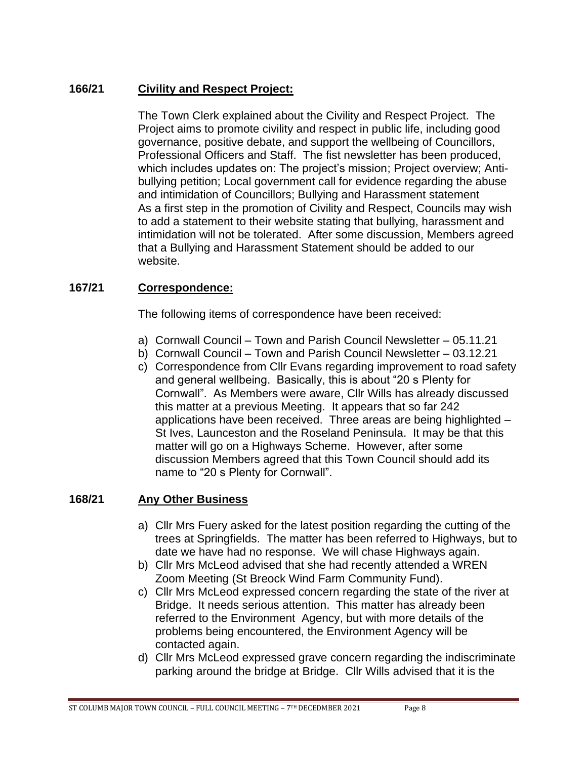# **166/21 Civility and Respect Project:**

The Town Clerk explained about the Civility and Respect Project. The Project aims to promote civility and respect in public life, including good governance, positive debate, and support the wellbeing of Councillors, Professional Officers and Staff. The fist newsletter has been produced, which includes updates on: The project's mission; Project overview; Antibullying petition; Local government call for evidence regarding the abuse and intimidation of Councillors; Bullying and Harassment statement As a first step in the promotion of Civility and Respect, Councils may wish to add a statement to their website stating that bullying, harassment and intimidation will not be tolerated. After some discussion, Members agreed that a Bullying and Harassment Statement should be added to our website.

#### **167/21 Correspondence:**

The following items of correspondence have been received:

- a) Cornwall Council Town and Parish Council Newsletter 05.11.21
- b) Cornwall Council Town and Parish Council Newsletter 03.12.21
- c) Correspondence from Cllr Evans regarding improvement to road safety and general wellbeing. Basically, this is about "20 s Plenty for Cornwall". As Members were aware, Cllr Wills has already discussed this matter at a previous Meeting. It appears that so far 242 applications have been received. Three areas are being highlighted – St Ives, Launceston and the Roseland Peninsula. It may be that this matter will go on a Highways Scheme. However, after some discussion Members agreed that this Town Council should add its name to "20 s Plenty for Cornwall".

#### **168/21 Any Other Business**

- a) Cllr Mrs Fuery asked for the latest position regarding the cutting of the trees at Springfields. The matter has been referred to Highways, but to date we have had no response. We will chase Highways again.
- b) Cllr Mrs McLeod advised that she had recently attended a WREN Zoom Meeting (St Breock Wind Farm Community Fund).
- c) Cllr Mrs McLeod expressed concern regarding the state of the river at Bridge. It needs serious attention. This matter has already been referred to the Environment Agency, but with more details of the problems being encountered, the Environment Agency will be contacted again.
- d) Cllr Mrs McLeod expressed grave concern regarding the indiscriminate parking around the bridge at Bridge. Cllr Wills advised that it is the